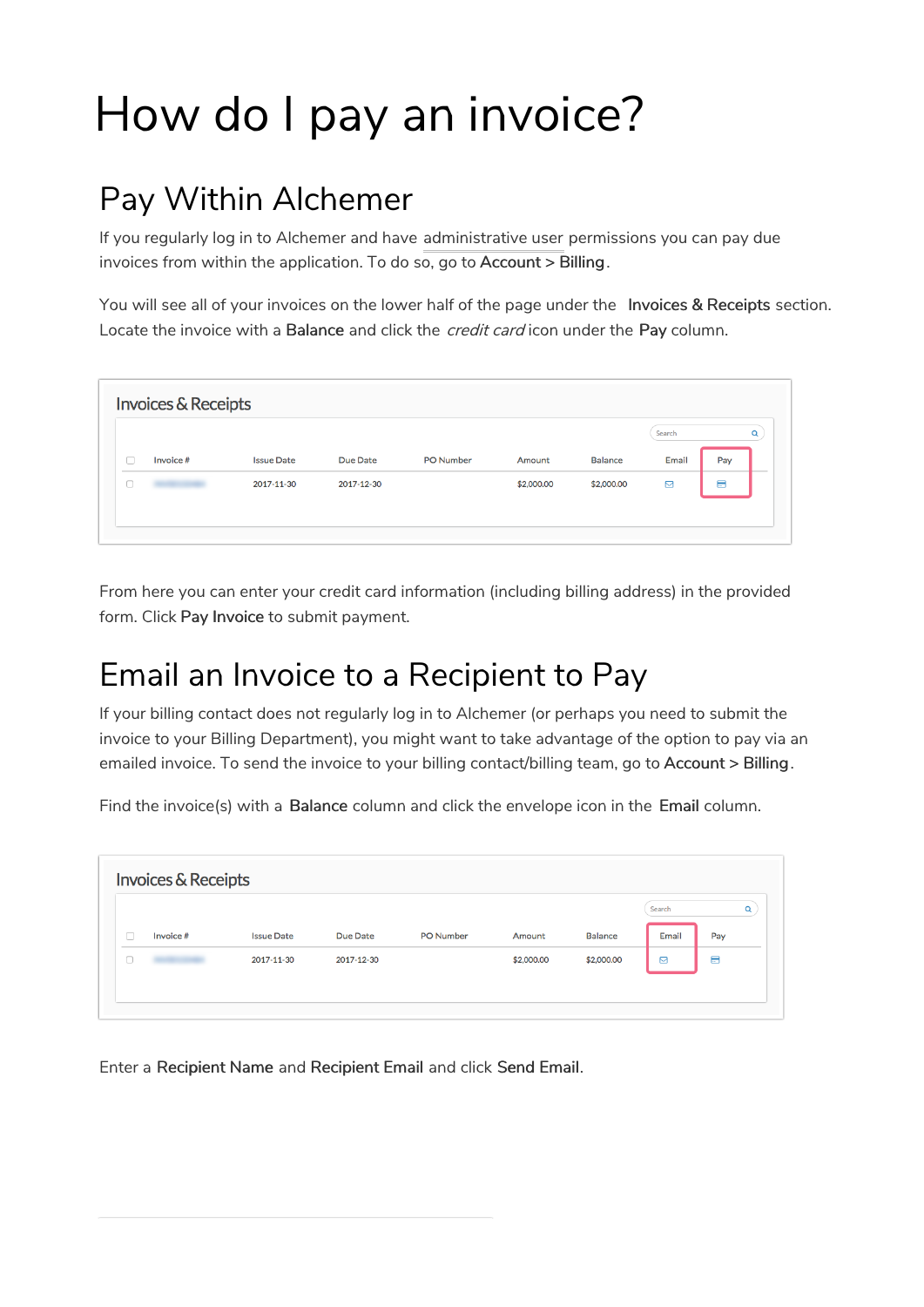## How do I pay an invoice?

## Pay Within Alchemer

If you regularly log in to Alchemer and have administrative user permissions you can pay due invoices from within the application. To do so, go to Account > Billing.

You will see all of your invoices on the lower half of the page under the Invoices & Receipts section. Locate the invoice with a Balance and click the *credit card* icon under the Pay column.

| Search<br>Q                              |                  |            |                   | <b>Invoices &amp; Receipts</b> |        |
|------------------------------------------|------------------|------------|-------------------|--------------------------------|--------|
|                                          |                  |            |                   |                                |        |
| <b>Balance</b><br>Email<br>Pay<br>Amount | <b>PO Number</b> | Due Date   | <b>Issue Date</b> | Invoice #                      |        |
| ⊟<br>\$2,000.00<br>\$2,000.00<br>◙       |                  | 2017-12-30 | 2017-11-30        |                                | $\Box$ |
|                                          |                  |            |                   |                                |        |

From here you can enter your credit card information (including billing address) in the provided form. Click Pay Invoice to submit payment.

## Email an Invoice to a Recipient to Pay

If your billing contact does not regularly log in to Alchemer (or perhaps you need to submit the invoice to your Billing Department), you might want to take advantage of the option to pay via an emailed invoice. To send the invoice to your billing contact/billing team, go to Account > Billing.

Find the invoice(s) with a Balance column and click the envelope icon in the Email column.

| Search<br><b>Issue Date</b><br>PO Number<br><b>Balance</b><br>Email<br>Due Date<br>Pay<br>Invoice #<br>Amount |          |
|---------------------------------------------------------------------------------------------------------------|----------|
|                                                                                                               | $\alpha$ |
| Ω<br>Ξ<br>\$2,000.00<br>⊠<br>\$2,000.00<br>2017-11-30<br>2017-12-30                                           |          |

Enter a Recipient Name and Recipient Email and click Send Email.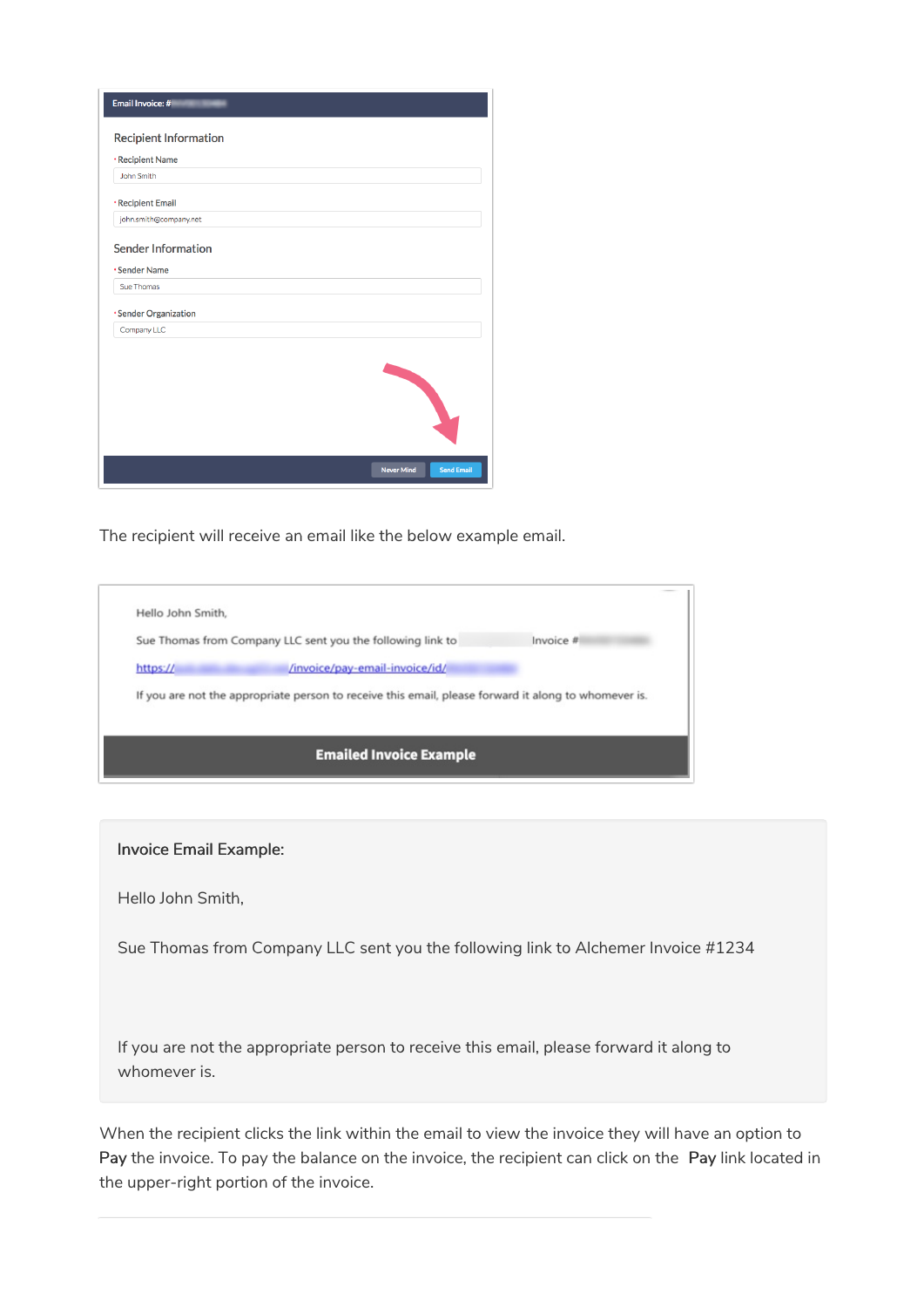| Email Invoice: #                       |
|----------------------------------------|
| <b>Recipient Information</b>           |
| *Recipient Name                        |
| John Smith                             |
| *Recipient Email                       |
| john.smith@company.net                 |
| <b>Sender Information</b>              |
| *Sender Name                           |
| Sue Thomas                             |
| *Sender Organization                   |
| Company LLC                            |
|                                        |
| <b>Never Mind</b><br><b>Send Email</b> |

The recipient will receive an email like the below example email.

| Hello John Smith,                                                                                    |           |  |  |  |
|------------------------------------------------------------------------------------------------------|-----------|--|--|--|
| Sue Thomas from Company LLC sent you the following link to                                           | Invoice # |  |  |  |
| /invoice/pay-email-invoice/id/<br>https://                                                           |           |  |  |  |
| If you are not the appropriate person to receive this email, please forward it along to whomever is. |           |  |  |  |
|                                                                                                      |           |  |  |  |
| <b>Emailed Invoice Example</b>                                                                       |           |  |  |  |

## Invoice Email Example:

Hello John Smith,

Sue Thomas from Company LLC sent you the following link to Alchemer Invoice #1234

If you are not the appropriate person to receive this email, please forward it along to whomever is.

When the recipient clicks the link within the email to view the invoice they will have an option to Pay the invoice. To pay the balance on the invoice, the recipient can click on the Pay link located in the upper-right portion of the invoice.